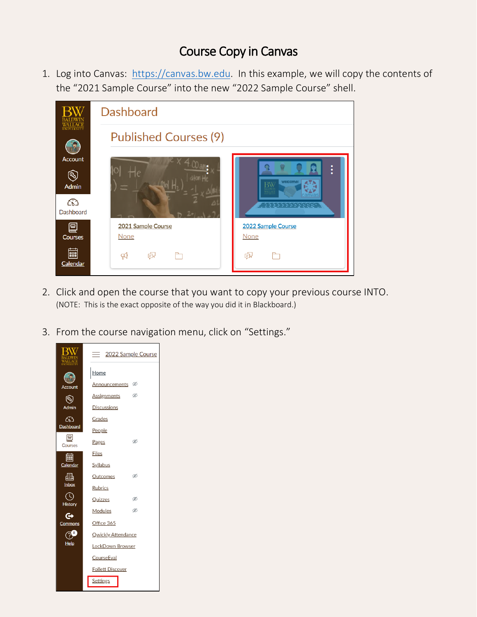## Course Copy in Canvas

1. Log into Canvas: [https://canvas.bw.edu.](https://canvas.bw.edu/) In this example, we will copy the contents of the "2021 Sample Course" into the new "2022 Sample Course" shell.



- 2. Click and open the course that you want to copy your previous course INTO. (NOTE: This is the exact opposite of the way you did it in Blackboard.)
- 3. From the course navigation menu, click on "Settings."

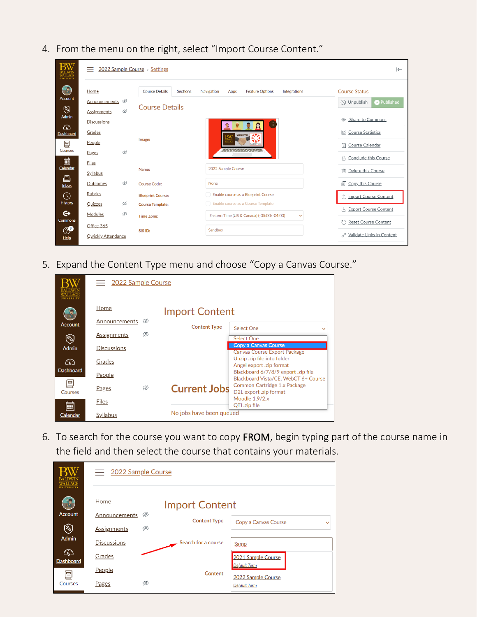- 12022 Sample Course > Settings  $\leftarrow$  $\bigodot$ Course Details Sections **Course Status** Home Navigation Apps **Feature Options** Integrations Announcements <sup> $\otimes$ </sup> O Unpublish Published **Course Details**  $\circledS$ Ø **Assignments** Admin Share to Commons Discussions  $\mathbb{G}$ **In Course Statistics** Grades Dashboard Image 冒 People S Course Calendar Pages Ø A Conclude this Course | | | | |<br><u>Calenda</u> **Files** 2022 Sample Course Name: **m** Delete this Course Syllabus € Outcomes Ø **Course Code:** None 同 Copy this Course  $lnbox$ Rubrics  $\circledcirc$ **Blueprint Course:** Enable course as a Blueprint Course ↑ Import Course Content History Quizzes Ø Enable course as a Course Template **Course Template:** Export Course Content  $\mathbf{\Theta}$ Ø Modules Eastern Time (US & Canada) (-05:00/-04:00) Time Zone: Commons C Reset Course Content Office 365 ூ SIS ID: Sandbox ⊘ Validate Links in Content **Qwickly Attendance**  $Help$
- 4. From the menu on the right, select "Import Course Content."

5. Expand the Content Type menu and choose "Copy a Canvas Course."

|                  | $\equiv$ 2022 Sample Course |   |                          |                                                                             |  |  |  |  |
|------------------|-----------------------------|---|--------------------------|-----------------------------------------------------------------------------|--|--|--|--|
|                  | Home                        |   | <b>Import Content</b>    |                                                                             |  |  |  |  |
| <b>Account</b>   | Announcements               | Ø | <b>Content Type</b>      | <b>Select One</b>                                                           |  |  |  |  |
| $\circledS$      | <b>Assignments</b>          | Ø |                          | <b>Select One</b>                                                           |  |  |  |  |
| <b>Admin</b>     | <b>Discussions</b>          |   |                          | Copy a Canvas Course<br><b>Canvas Course Export Package</b>                 |  |  |  |  |
| ඟ                | Grades                      |   |                          | Unzip .zip file into folder<br>Angel export .zip format                     |  |  |  |  |
| <b>Dashboard</b> | People                      |   |                          | Blackboard 6/7/8/9 export .zip file<br>Blackboard Vista/CE, WebCT 6+ Course |  |  |  |  |
| 르<br>Courses     | Pages                       | Ø | <b>Current Jobs</b>      | Common Cartridge 1.x Package<br>D2L export .zip format                      |  |  |  |  |
| 翩                | <b>Files</b>                |   |                          | Moodle 1.9/2.x<br>QTI .zip file                                             |  |  |  |  |
| Calendar         | Syllabus                    |   | No jobs have been queued |                                                                             |  |  |  |  |

6. To search for the course you want to copy FROM, begin typing part of the course name in the field and then select the course that contains your materials.

| <b>INIVERSIT</b>      | $\equiv$ 2022 Sample Course   |                     |                                           |  |  |  |  |
|-----------------------|-------------------------------|---------------------|-------------------------------------------|--|--|--|--|
|                       | Home<br><b>Import Content</b> |                     |                                           |  |  |  |  |
| <b>Account</b>        | Ø<br>Announcements            | <b>Content Type</b> | Copy a Canvas Course<br>$\checkmark$      |  |  |  |  |
| $\circledS$           | Ø<br><b>Assignments</b>       |                     |                                           |  |  |  |  |
| <b>Admin</b>          | <b>Discussions</b>            | Search for a course | Samp                                      |  |  |  |  |
| ෬<br><b>Dashboard</b> | Grades                        |                     | 2021 Sample Course                        |  |  |  |  |
| 囯                     | People                        | Content             | <b>Default Term</b>                       |  |  |  |  |
| <b>Courses</b>        | Ø<br>Pages                    |                     | 2022 Sample Course<br><b>Default Term</b> |  |  |  |  |